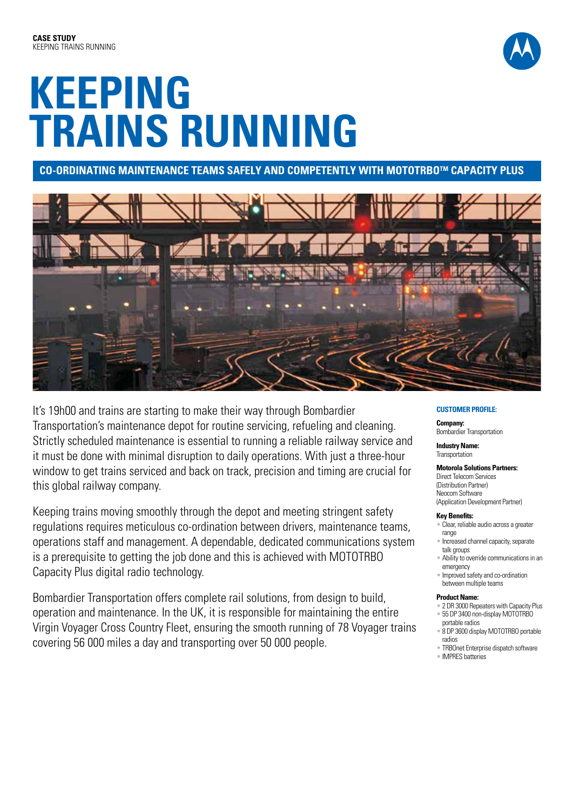# **KEEPING TRAINS RUNNING**

**Co-ordinating Maintenance Teams Safely and Competently with MOTOTRBOtm Capacity Plus**



It's 19h00 and trains are starting to make their way through Bombardier Transportation's maintenance depot for routine servicing, refueling and cleaning. Strictly scheduled maintenance is essential to running a reliable railway service and it must be done with minimal disruption to daily operations. With just a three-hour window to get trains serviced and back on track, precision and timing are crucial for this global railway company.

Keeping trains moving smoothly through the depot and meeting stringent safety regulations requires meticulous co-ordination between drivers, maintenance teams, operations staff and management. A dependable, dedicated communications system is a prerequisite to getting the job done and this is achieved with MOTOTRBO Capacity Plus digital radio technology.

Bombardier Transportation offers complete rail solutions, from design to build, operation and maintenance. In the UK, it is responsible for maintaining the entire Virgin Voyager Cross Country Fleet, ensuring the smooth running of 78 Voyager trains covering 56 000 miles a day and transporting over 50 000 people.

### **CUSTOMER PROFILE:**

**Company:** Bombardier Transportation

**Industry Name: Transportation** 

**Motorola Solutions Partners:** Direct Telecom Services (Distribution Partner) Neocom Software (Application Development Partner)

#### **Key Benefits:**

- Clear, reliable audio across a greater range
- Increased channel capacity, separate talk groups
- Ability to override communications in an emergency
- Improved safety and co-ordination between multiple teams

#### **Product Name:**

- 2 DR 3000 Repeaters with Capacity Plus • 55 DP 3400 non-display MOTOTRBO
- portable radios
- 8 DP 3600 display MOTOTRBO portable radios
- TRBOnet Enterprise dispatch software
- IMPRES batteries